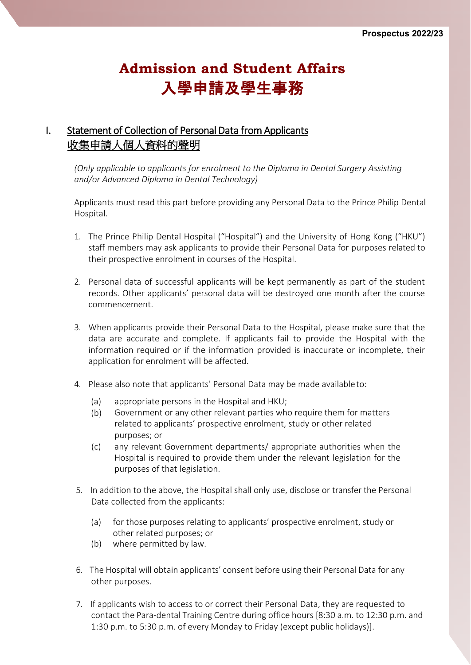# **Admission and Student Affairs** 入學申請及學生事務

## I. Statement of Collection of Personal Data from Applicants 收集申請人個人資料的聲明

*(Only applicable to applicants for enrolment to the Diploma in Dental Surgery Assisting and/or Advanced Diploma in Dental Technology)*

Applicants must read this part before providing any Personal Data to the Prince Philip Dental Hospital.

- 1. The Prince Philip Dental Hospital ("Hospital") and the University of Hong Kong ("HKU") staff members may ask applicants to provide their Personal Data for purposes related to their prospective enrolment in courses of the Hospital.
- 2. Personal data of successful applicants will be kept permanently as part of the student records. Other applicants' personal data will be destroyed one month after the course commencement.
- 3. When applicants provide their Personal Data to the Hospital, please make sure that the data are accurate and complete. If applicants fail to provide the Hospital with the information required or if the information provided is inaccurate or incomplete, their application for enrolment will be affected.
- 4. Please also note that applicants' Personal Data may be made availableto:
	- (a) appropriate persons in the Hospital and HKU;
	- (b) Government or any other relevant parties who require them for matters related to applicants' prospective enrolment, study or other related purposes; or
	- (c) any relevant Government departments/ appropriate authorities when the Hospital is required to provide them under the relevant legislation for the purposes of that legislation.
- 5. In addition to the above, the Hospital shall only use, disclose or transfer the Personal Data collected from the applicants:
	- (a) for those purposes relating to applicants' prospective enrolment, study or other related purposes; or
	- (b) where permitted by law.
- 6. The Hospital will obtain applicants' consent before using their Personal Data for any other purposes.
- 7. If applicants wish to access to or correct their Personal Data, they are requested to contact the Para-dental Training Centre during office hours [8:30 a.m. to 12:30 p.m. and 1:30 p.m. to 5:30 p.m. of every Monday to Friday (except public holidays)].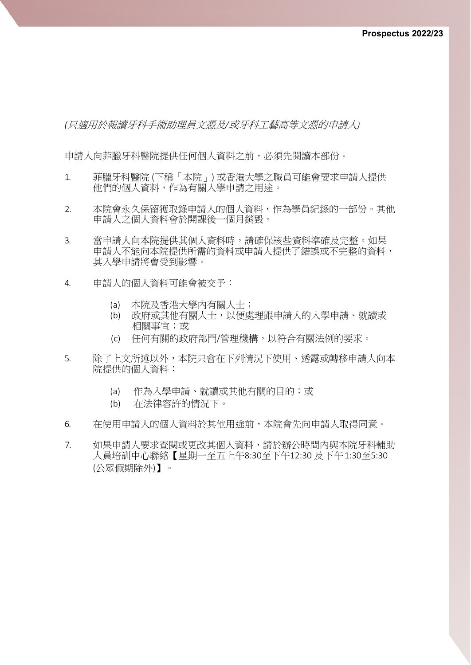*(*只適用於報讀牙科手術助理員文憑及*/*或牙科工藝高等文憑的申請人*)*

申請人向菲臘牙科醫院提供任何個人資料之前,必須先閱讀本部份。

- 1. 菲臘牙科醫院 (下稱「本院」) 或香港大學之職員可能會要求申請人提供 他們的個人資料,作為有關入學申請之用途。
- 2. 本院會永久保留獲取錄申請人的個人資料,作為學員紀錄的一部份。其他 申請人之個人資料會於開課後一個月銷毀。
- 3. 當申請人向本院提供其個人資料時,請確保該些資料準確及完整。如果 申請人不能向本院提供所需的資料或申請人提供了錯誤或不完整的資料, 其入學申請將會受到影響。
- 4. 申請人的個人資料可能會被交予:
	- (a) 本院及香港大學內有關人士;
	- (b) 政府或其他有關人士,以便處理跟申請人的入學申請、就讀或 相關事宜;或
	- (c) 任何有關的政府部門/管理機構,以符合有關法例的要求。
- 5. 除了上文所述以外,本院只會在下列情況下使用、透露或轉移申請人向本 院提供的個人資料:
	- (a) 作為入學申請、就讀或其他有關的目的;或
	- (b) 在法律容許的情況下。
- 6. 在使用申請人的個人資料於其他用途前,本院會先向申請人取得同意。
- 7. 如果申請人要求查閱或更改其個人資料,請於辦公時間內與本院牙科輔助 人員培訓中心聯絡【星期一至五上午8:30至下午12:30 及下午1:30至5:30 (公眾假期除外)】。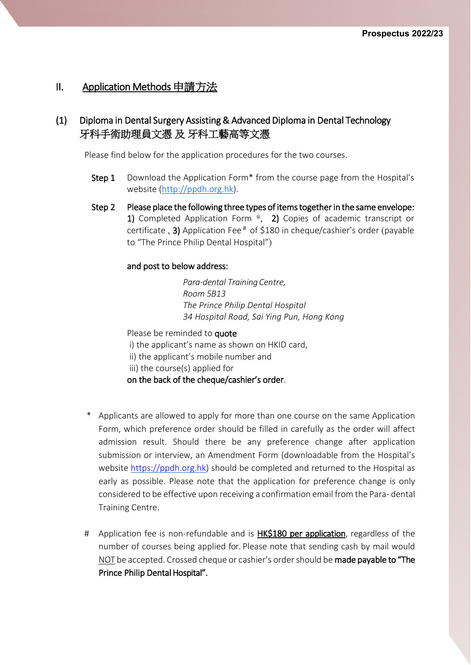#### II. Application Methods 申請方法

#### (1) Diploma in Dental Surgery Assisting & Advanced Diploma in Dental Technology 牙科手術助理員文憑 及 牙科工藝高等文憑

Please find below for the application procedures for the two courses.

- Step 1 Download the Application Form<sup>\*</sup> from the course page from the Hospital's website [\(http://ppdh.org.hk\)](http://ppdh.org.hk/).
- Step 2 Please place the following three types of items together in the same envelope: 1) Completed Application Form \*, 2) Copies of academic transcript or certificate, 3) Application Fee $^*$  of \$180 in cheque/cashier's order (payable to "The Prince Philip Dental Hospital")

#### and post to below address:

*Para-dental Training Centre, Room 5B13 The Prince Philip Dental Hospital 34 Hospital Road, Sai Ying Pun, Hong Kong*

Please be reminded to quote i) the applicant's name as shown on HKID card, ii) the applicant's mobile number and iii) the course(s) applied for on the back of the cheque/cashier's order.

- Applicants are allowed to apply for more than one course on the same Application Form, which preference order should be filled in carefully as the order will affect admission result. Should there be any preference change after application submission or interview, an Amendment Form (downloadable from the Hospital's website [https://ppdh.org.hk\)](https://ppdh.org.hk/) should be completed and returned to the Hospital as early as possible. Please note that the application for preference change is only considered to be effective upon receiving a confirmation email from the Para- dental Training Centre.
- # Application fee is non-refundable and is **HK\$180 per application**, regardless of the number of courses being applied for. Please note that sending cash by mail would NOT be accepted. Crossed cheque or cashier's order should be made payable to "The Prince Philip Dental Hospital".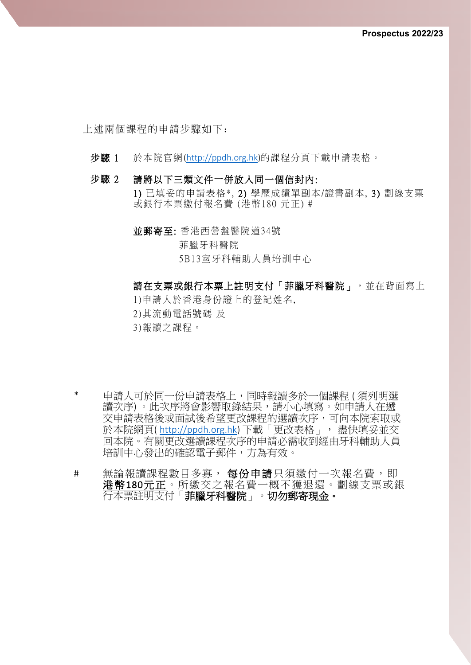上述兩個課程的申請步驟如下:

- 步驟 1 於本院官網[\(http://ppdh.org.hk\)](http://ppdh.org.hk/)的課程分頁下載申請表格。
- 步驟 2 請將以下三類文件一併放入同一個信封內: 1) 已填妥的申請表格\*, 2) 學歷成績單副本/證書副本, 3) 劃線支票 或銀行本票繳付報名費 (港幣180 元正) #
	- 並郵寄至: 香港西營盤醫院道34號 菲臘牙科醫院 5B13室牙科輔助人員培訓中心

請在支票或銀行本票上註明支付「菲臘牙科醫院」,並在背面寫上

1 )申請人於香港身份證上的登記姓名,

- 2 )其流動電話號碼 及
- 3 )報讀之課程。
- 申請人可於同一份申請表格上,同時報讀多於一個課程 ( 須列明選 讀次序) 。此次序將會影響取錄結果,請小心填寫。如申請人在遞 交申請表格後或面試後希望更改課程的選讀次序,可向本院索取或 於本院網頁( [http://ppdh.org.hk\)](http://ppdh.org.hk/) 下載「更改表格」, 盡快填妥並交 回本院。有關更改選讀課程次序的申請必需收到經由牙科輔助人員 培訓中心發出的確認電子郵件,方為有效。
- # 無論報讀課程數目多寡, 每份申請只須繳付一次報名費, 即 港幣180 元正。所繳交之報名費一概不獲退還。劃線支票或銀 行本票註明支付「菲臘牙科醫院」。切勿郵寄現金。